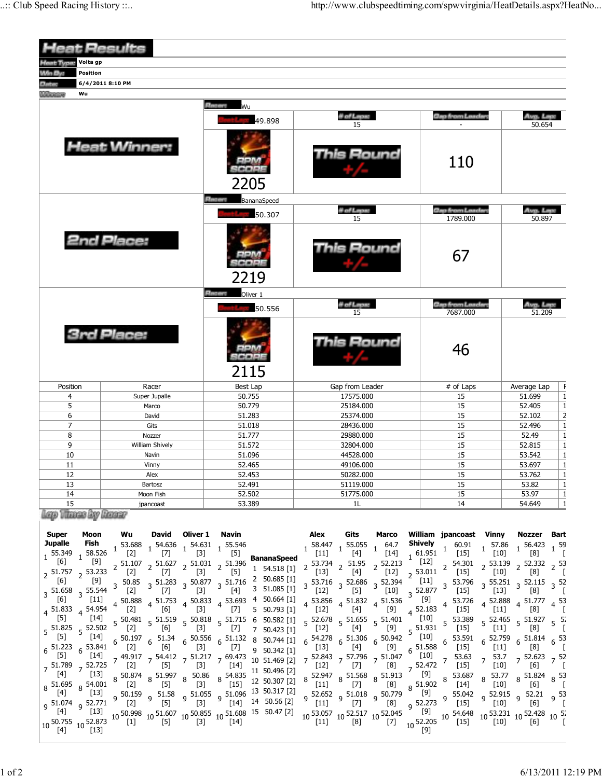| <b>Heat Results</b>                                                  |                                                                                   |                                                                                      |                                                                                                                     |                                                                                                          |                                                 |  |  |  |
|----------------------------------------------------------------------|-----------------------------------------------------------------------------------|--------------------------------------------------------------------------------------|---------------------------------------------------------------------------------------------------------------------|----------------------------------------------------------------------------------------------------------|-------------------------------------------------|--|--|--|
| Volta gp<br>aat Type:                                                |                                                                                   |                                                                                      |                                                                                                                     |                                                                                                          |                                                 |  |  |  |
| Win By:<br>Position                                                  |                                                                                   |                                                                                      |                                                                                                                     |                                                                                                          |                                                 |  |  |  |
| Date                                                                 | 6/4/2011 8:10 PM                                                                  |                                                                                      |                                                                                                                     |                                                                                                          |                                                 |  |  |  |
| Wu<br><b>College Col</b>                                             |                                                                                   |                                                                                      |                                                                                                                     |                                                                                                          |                                                 |  |  |  |
|                                                                      |                                                                                   | <b>Pacers</b><br>Wu                                                                  |                                                                                                                     |                                                                                                          |                                                 |  |  |  |
|                                                                      |                                                                                   | 49.898                                                                               | # of Laps:<br>15                                                                                                    | Gap from Laadar                                                                                          | Avg. Lep<br>50.654                              |  |  |  |
|                                                                      | <b>Heat Winner:</b>                                                               | 2205                                                                                 | 'his Round<br>110                                                                                                   |                                                                                                          |                                                 |  |  |  |
|                                                                      |                                                                                   | <b>Planety</b><br>BananaSpeed                                                        |                                                                                                                     |                                                                                                          |                                                 |  |  |  |
|                                                                      |                                                                                   | 50.307                                                                               | # of Laps:<br>15                                                                                                    | <b>Gap from Leaders</b><br>1789.000                                                                      | Ava. Leo.<br>50.897                             |  |  |  |
|                                                                      | <b>2nd Place:</b>                                                                 | 2219                                                                                 | Round                                                                                                               | 67                                                                                                       |                                                 |  |  |  |
|                                                                      |                                                                                   | <b>Placers</b><br>Oliver 1                                                           | # of Laps:                                                                                                          | <b>Gap from Leaders</b>                                                                                  | Avg. Lap:                                       |  |  |  |
|                                                                      |                                                                                   | 50.556                                                                               | 15                                                                                                                  | 7687.000                                                                                                 | 51.209                                          |  |  |  |
|                                                                      | <b>3rd Place:</b>                                                                 | 2115                                                                                 | Round                                                                                                               | 46                                                                                                       |                                                 |  |  |  |
| Position                                                             | Racer                                                                             | Best Lap                                                                             | Gap from Leader                                                                                                     | # of Laps                                                                                                | F<br>Average Lap                                |  |  |  |
| 4                                                                    | Super Jupalle                                                                     | 50.755                                                                               | 17575.000                                                                                                           | 15                                                                                                       | $\overline{\mathbf{1}}$<br>51.699               |  |  |  |
| 5                                                                    | Marco                                                                             | 50.779                                                                               | 25184.000                                                                                                           | 15                                                                                                       | $\,$ 1<br>52.405                                |  |  |  |
| 6                                                                    | David                                                                             | 51.283                                                                               | 25374.000                                                                                                           | 15                                                                                                       | 52.102                                          |  |  |  |
| $\overline{7}$                                                       | Gits                                                                              | 51.018                                                                               | 28436.000                                                                                                           | 15                                                                                                       | $\frac{2}{1}$<br>52.496                         |  |  |  |
| 8                                                                    | Nozzer                                                                            | 51.777                                                                               | 29880.000                                                                                                           | 15                                                                                                       | 52.49                                           |  |  |  |
| 9                                                                    | William Shively                                                                   | 51.572                                                                               | 32804.000                                                                                                           | 15                                                                                                       | $\overline{1}$<br>52.815                        |  |  |  |
| 10                                                                   | Navin                                                                             | 51.096                                                                               | 44528.000                                                                                                           | 15                                                                                                       | $\overline{1}$<br>53.542                        |  |  |  |
| 11                                                                   | Vinny                                                                             | 52.465                                                                               | 49106.000                                                                                                           | 15                                                                                                       | $\mathbf{1}$<br>53.697                          |  |  |  |
| 12                                                                   | Alex                                                                              | 52.453                                                                               | 50282.000                                                                                                           | 15                                                                                                       | $\mathbf{1}$<br>53.762                          |  |  |  |
| 13                                                                   | Bartosz                                                                           | 52.491                                                                               | 51119.000                                                                                                           | 15                                                                                                       | 53.82<br>$\frac{1}{1}$                          |  |  |  |
| 14<br>Moon Fish                                                      |                                                                                   | 52.502                                                                               | 51775.000                                                                                                           | 15                                                                                                       | 53.97                                           |  |  |  |
| 15<br>jpancoast<br>lego Vitanas By Banaar                            |                                                                                   | 53.389                                                                               | 1L                                                                                                                  | 14                                                                                                       | $\mathbf{1}$<br>54.649                          |  |  |  |
| <b>Super</b><br>Moon<br><b>Jupalle</b><br>Fish<br>58.526<br>1 55.349 | Wu<br>David<br>Oliver 1<br>1 54.636 1 54.631 1 55.546<br>53.688<br>$[7]$<br>$[2]$ | Navin<br>$[3]$<br>[5]<br><b>BananaSpeed</b>                                          | Gits<br>Alex<br>Marco<br>$1\frac{58.447}{54.11}$ 1 55.055<br>$1^{64.7}$<br>$[11]$<br>$[14]$                         | William jpancoast Vinny<br>Shively<br>60.91<br>57.86<br>$\mathbf{1}$<br>$1^{61.951}$<br>$[15]$<br>$[10]$ | Nozzer<br>Bart<br>1 56.423 1 59<br>[8]<br>- [   |  |  |  |
| [6]<br>[9]<br>53.233<br>$2^{51.757}$                                 | $2^{51.627}$ $2^{51.031}$<br>51.107<br>$[7]$<br>[2]                               | 51.396<br>$\overline{\phantom{a}}$<br>1 54.518 [1]<br>$[3]$<br>$[5]$<br>2 50.685 [1] | 53.734 $\frac{1}{2}$ 51.95<br>$2\,52.213$<br>$[13]$<br>$[4]$<br>$[12]$                                              | [12]<br>54.301<br>2 53.139<br>$2^{53.011}$<br>$[10]$<br>$[15]$                                           | $2.332$ $2.53$<br>[8]                           |  |  |  |
| $[6]$<br>[9]<br>$3\frac{51.658}{551}$ 3 55.544<br>F61<br>[11]        | 50.85<br>$3^{50.877}$<br>$3\,$ 51.283<br>3<br>$[2]$<br>$[7]$<br>51 753<br>50.888  | 3 51.716<br>3 51.085 [1]<br>[4]<br>$[3]$<br>$50.664$ [1]                             | 53.716 $3\frac{52.686}{1000}$<br>$3\frac{52.394}{ }$<br>3<br>$[5]$<br>$[12]$<br>$[10]$<br>52.856<br>51 536<br>51832 | $[11]$<br>53.796<br>$3\,55.251$<br>$3^{52.877}$<br>$[15]$<br>$[13]$<br>F91<br>53 726<br>52.888           | $3\,52.115$<br>$3^{52}$<br>[8]<br>51 777<br>53. |  |  |  |

| <b>Super</b>                                                           | Moon                                                                                                                                                                                                         | Wu                                                                                     | David                      | Oliver 1                                                     | Navin                |                                                                                                                                                                                                                                                                                                                                                                                                                                                                                                                   | Alex                       | Gits                                                                                                                                                                                                                                                                                                                                                                                                                                                                 | Marco                 |                                                                                                             | William jpancoast                                                                                                                                                                                                                                                                                                                                            | Vinny                                                                             | Nozzer Bart                                                                                                                                                                                                                                       |  |
|------------------------------------------------------------------------|--------------------------------------------------------------------------------------------------------------------------------------------------------------------------------------------------------------|----------------------------------------------------------------------------------------|----------------------------|--------------------------------------------------------------|----------------------|-------------------------------------------------------------------------------------------------------------------------------------------------------------------------------------------------------------------------------------------------------------------------------------------------------------------------------------------------------------------------------------------------------------------------------------------------------------------------------------------------------------------|----------------------------|----------------------------------------------------------------------------------------------------------------------------------------------------------------------------------------------------------------------------------------------------------------------------------------------------------------------------------------------------------------------------------------------------------------------------------------------------------------------|-----------------------|-------------------------------------------------------------------------------------------------------------|--------------------------------------------------------------------------------------------------------------------------------------------------------------------------------------------------------------------------------------------------------------------------------------------------------------------------------------------------------------|-----------------------------------------------------------------------------------|---------------------------------------------------------------------------------------------------------------------------------------------------------------------------------------------------------------------------------------------------|--|
| <b>Jupalle</b><br>55.349                                               |                                                                                                                                                                                                              | <b>rish</b><br>58.526 1 53.688 1 54.636 1 54.631 1 55.546                              |                            |                                                              |                      |                                                                                                                                                                                                                                                                                                                                                                                                                                                                                                                   | $\ddot{ }$ [11]            | $1\frac{58.447}{1}$ $1\frac{55.055}{1}$<br>$[4]$                                                                                                                                                                                                                                                                                                                                                                                                                     | 64.7<br>[14]          | Shively<br>161.951                                                                                          | 60.91<br>$[15]$                                                                                                                                                                                                                                                                                                                                              | 57.86<br>$[10]$                                                                   | $56.423$ $1\frac{59}{52}$<br>[8]                                                                                                                                                                                                                  |  |
| [6]<br>$2^{51.757}$<br> 6                                              | [9]<br>, 53.233<br>[9]<br>$3\,$ 51.658 $\,$ 55.544<br>$[11]$<br>$4\overline{51.833}$ $4\overline{54.954}$<br>[14]                                                                                            | $[2]$<br>$3\,50.85$<br>$\begin{bmatrix} 2 \end{bmatrix}$<br>$\left[2\right]$           | $[7]$<br>[7]<br>[6]        | $[3]$<br>[3]<br>$[3]$                                        | $[5]$<br>[7]         | 2 51.107 2 51.627 2 51.031 2 51.396 <b>BananaSpeed</b><br>$1\quad 54.518\ [1]\quad 2$<br>$3\frac{51.283}{171}$ $3\frac{50.877}{121}$ $3\frac{51.716}{121}$ $2\frac{50.685}{121}$ $11$<br>$[4]$ 3 51.085 [1]<br>$4\frac{50.888}{121}$ $4\frac{51.753}{121}$ $4\frac{50.833}{121}$ $4\frac{53.693}{121}$ $4\frac{50.664}{11}$<br>$5\quad 50.793\ [1]$<br>$5\frac{50.481}{52}$ $5\frac{51.519}{52}$ $5\frac{50.818}{52}$ $5\frac{51.715}{52}$ 6 50.582 [1]                                                           | $[13]$<br>$[12]$<br>$[12]$ | $53.734$ 2 51.95 2 52.213<br>[4]<br>$3\frac{53.716}{1000}$ $3\frac{52.686}{1000}$ $3\frac{52.394}{1000}$<br>[5]<br>$4\begin{array}{cc} 53.856 \\ 4\end{array}$ $4\begin{array}{cc} 51.832 \\ 1.536 \end{array}$ $4\begin{array}{cc} 51.536 \\ 1.536 \end{array}$<br>$[4]$ <sup>4</sup><br>$5\frac{52.678}{5}$ $5\frac{51.655}{5}$ $5\frac{51.401}{5}$ $\left[\frac{10}{10}\right]$                                                                                   | $[12]$<br>[10]<br>[9] | $\begin{bmatrix} 12 \end{bmatrix}$<br>, 53.011<br>$[11]$<br>$3\,52.877$<br>[9]<br>$4^{52.183}$ <sup>4</sup> | 2 54.301<br>$[15]$<br>3 53.796<br>$[15]$<br>53.726<br>$[15]$<br>5 53.389                                                                                                                                                                                                                                                                                     | $[10]$<br>$[13]$<br>$[11]$                                                        | $2^{53.139}$ $2^{52.332}$ $2^{53}$<br>[8]<br>3 55.251 3 52.115 3 52<br>[8]<br>$4\begin{array}{cc} 52.888 & 4\end{array}$ 51.777 $4\begin{array}{cc} 53 \\ 1\end{array}$<br>[8]<br>$5\frac{52.465}{1000}$ $5\frac{51.927}{1000}$ $5\frac{52}{100}$ |  |
| $\lfloor 5 \rfloor$<br>$6^{51.223}$<br>[5]<br>$\lceil 4 \rceil$<br>[4] | $5\frac{51.825}{27}$ 52.502<br>$[14]$<br>53.841<br>$6\overline{6}$<br>[14]<br>$7\frac{51.789}{1.73}$ 7 52.725<br>$[13]$<br>$8\frac{51.695}{53}$ $8\frac{54.001}{533}$<br>$[13]$<br>q 51.074 q 52.771<br>[13] | $\begin{bmatrix} 2 \end{bmatrix}$<br>$\lfloor 2 \rfloor$<br>[2]<br>$\lfloor 2 \rfloor$ | [6]<br>[6]<br>[5]<br>$[5]$ | $\begin{bmatrix} 3 \end{bmatrix}$<br>$[3]$<br>$[3]$<br>$[3]$ | [7]<br>$[7]$<br>[14] | $7$ 50.423 [1]<br>$6\frac{50.197}{521}$ $6\frac{51.34}{521}$ $6\frac{50.556}{521}$ $6\frac{51.132}{521}$ $8\frac{50.744}{51}$ [1]<br>9 50.342 [1]<br>8 50.874 8 51.997 8 50.86 54.835 11 50.496 [2]<br>$[15]$ 12 50.307 [2]<br>9 50.159 9 51.58 9 51.055 9 51.096 13 50.317 [2]<br>14 50.56 [2] 9 52.652 9 51.018 9 50.779<br>14 50.56 [2] 9 [11] 9 $\frac{51.018}{171}$ 9 $\frac{50.779}{121}$<br>$[4]$ [13] $[13]$ 10 50.998 10 51.607 10 50.855 10 51.608 15 50.47 [2] 10 50.755 10 52.873 [1] [5] 10 [3] [14] | 6                          | $[12]$ $[4]$ $[9]$<br>54.278    6    51.306    6    50.942<br>[13]    6    [4]    6    [9]<br>$8\begin{array}{c c} 52.947 & 8 & 51.568 & 8 & 51.913 \\ \hline \text{[11]} & 8 & \text{[7]} & 8 & \text{[8]} & 8 \\ \end{array}$<br>$10\frac{53.057}{[11]} \cdot 10\frac{52.517}{[8]} \cdot 10\frac{52.045}{[7]} \cdot \frac{[9]}{10\frac{52.205}{[73]}} \cdot 10\frac{54.648}{[15]} \cdot 10\frac{53.231}{[10]} \cdot 10\frac{52.428}{[6]} \cdot 10\frac{52.428}{[}$ |                       | $5^{51.931}$<br>$[10]$<br>$6\frac{51.588}{1}$<br>[10]<br>$7\,52.472$<br>[9]                                 | $[15]$<br>53.591<br>$[15]$<br>53.63<br>$[15]$<br>$8\begin{array}{@{}c@{\hspace{1em}}c@{\hspace{1em}}}\n 51.902 & 8 & 53.687 \\  8 & 51.902 & 8 & 1141\n \end{array}$<br>$[7] \begin{array}{c} 9 \rightarrow 17 \ 8 \end{array} \begin{array}{c} 1 \ 8 \ 9 \end{array} \begin{array}{c} 1 \ 1 \ 1 \ 1 \end{array} \begin{array}{c} 1 \ 1 \ 1 \ 1 \end{array}$ | $\lfloor 11 \rfloor$<br>6<br>$[11]$<br>53.7<br>$\overline{7}$<br>$[10]$<br>$[10]$ | $\lfloor 8 \rfloor$<br>$52.759$ 6 $51.814$ 6 $53$<br>[8]<br>$7\frac{52.623}{7}$ 52<br> 6 <br>$8\begin{array}{cc} 53.77 & 851.824 & 853 \\ 852 & 852 & 852 \end{array}$<br>[6]<br>9 52.915 9 52.21 9 53<br>[6]                                     |  |